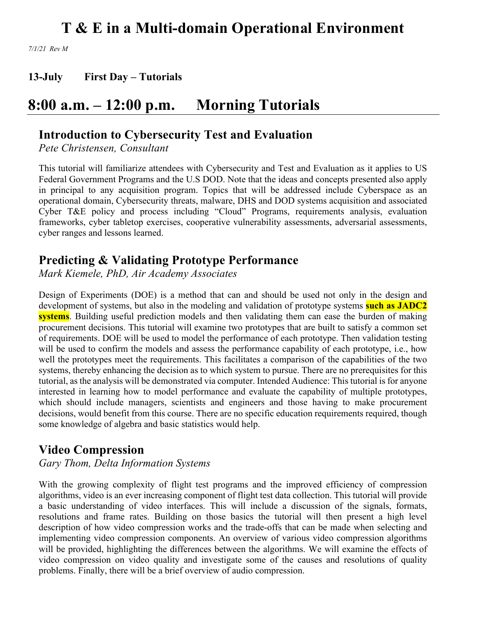*7/1/21 Rev M*

**13-July First Day – Tutorials**

### **8:00 a.m. – 12:00 p.m. Morning Tutorials**

### **Introduction to Cybersecurity Test and Evaluation**

*Pete Christensen, Consultant*

This tutorial will familiarize attendees with Cybersecurity and Test and Evaluation as it applies to US Federal Government Programs and the U.S DOD. Note that the ideas and concepts presented also apply in principal to any acquisition program. Topics that will be addressed include Cyberspace as an operational domain, Cybersecurity threats, malware, DHS and DOD systems acquisition and associated Cyber T&E policy and process including "Cloud" Programs, requirements analysis, evaluation frameworks, cyber tabletop exercises, cooperative vulnerability assessments, adversarial assessments, cyber ranges and lessons learned.

### **Predicting & Validating Prototype Performance**

*Mark Kiemele, PhD, Air Academy Associates*

Design of Experiments (DOE) is a method that can and should be used not only in the design and development of systems, but also in the modeling and validation of prototype systems **such as JADC2 systems**. Building useful prediction models and then validating them can ease the burden of making procurement decisions. This tutorial will examine two prototypes that are built to satisfy a common set of requirements. DOE will be used to model the performance of each prototype. Then validation testing will be used to confirm the models and assess the performance capability of each prototype, i.e., how well the prototypes meet the requirements. This facilitates a comparison of the capabilities of the two systems, thereby enhancing the decision as to which system to pursue. There are no prerequisites for this tutorial, as the analysis will be demonstrated via computer. Intended Audience: This tutorial is for anyone interested in learning how to model performance and evaluate the capability of multiple prototypes, which should include managers, scientists and engineers and those having to make procurement decisions, would benefit from this course. There are no specific education requirements required, though some knowledge of algebra and basic statistics would help.

### **Video Compression**

*Gary Thom, Delta Information Systems*

With the growing complexity of flight test programs and the improved efficiency of compression algorithms, video is an ever increasing component of flight test data collection. This tutorial will provide a basic understanding of video interfaces. This will include a discussion of the signals, formats, resolutions and frame rates. Building on those basics the tutorial will then present a high level description of how video compression works and the trade-offs that can be made when selecting and implementing video compression components. An overview of various video compression algorithms will be provided, highlighting the differences between the algorithms. We will examine the effects of video compression on video quality and investigate some of the causes and resolutions of quality problems. Finally, there will be a brief overview of audio compression.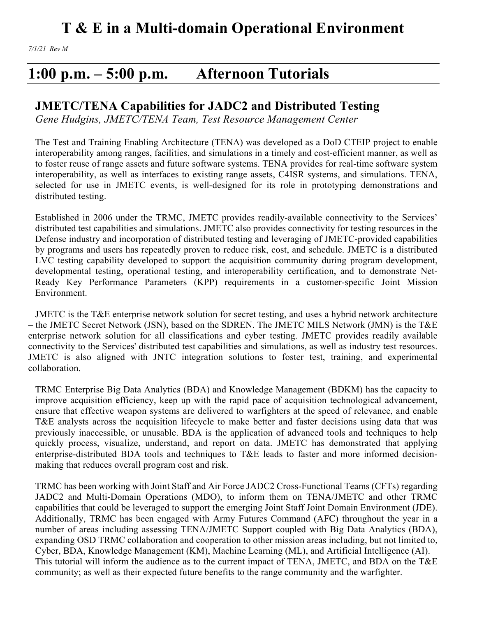### **1:00 p.m. – 5:00 p.m. Afternoon Tutorials**

### **JMETC/TENA Capabilities for JADC2 and Distributed Testing**

*Gene Hudgins, JMETC/TENA Team, Test Resource Management Center*

The Test and Training Enabling Architecture (TENA) was developed as a DoD CTEIP project to enable interoperability among ranges, facilities, and simulations in a timely and cost-efficient manner, as well as to foster reuse of range assets and future software systems. TENA provides for real-time software system interoperability, as well as interfaces to existing range assets, C4ISR systems, and simulations. TENA, selected for use in JMETC events, is well-designed for its role in prototyping demonstrations and distributed testing.

Established in 2006 under the TRMC, JMETC provides readily-available connectivity to the Services' distributed test capabilities and simulations. JMETC also provides connectivity for testing resources in the Defense industry and incorporation of distributed testing and leveraging of JMETC-provided capabilities by programs and users has repeatedly proven to reduce risk, cost, and schedule. JMETC is a distributed LVC testing capability developed to support the acquisition community during program development, developmental testing, operational testing, and interoperability certification, and to demonstrate Net-Ready Key Performance Parameters (KPP) requirements in a customer-specific Joint Mission Environment.

JMETC is the T&E enterprise network solution for secret testing, and uses a hybrid network architecture – the JMETC Secret Network (JSN), based on the SDREN. The JMETC MILS Network (JMN) is the T&E enterprise network solution for all classifications and cyber testing. JMETC provides readily available connectivity to the Services' distributed test capabilities and simulations, as well as industry test resources. JMETC is also aligned with JNTC integration solutions to foster test, training, and experimental collaboration.

TRMC Enterprise Big Data Analytics (BDA) and Knowledge Management (BDKM) has the capacity to improve acquisition efficiency, keep up with the rapid pace of acquisition technological advancement, ensure that effective weapon systems are delivered to warfighters at the speed of relevance, and enable T&E analysts across the acquisition lifecycle to make better and faster decisions using data that was previously inaccessible, or unusable. BDA is the application of advanced tools and techniques to help quickly process, visualize, understand, and report on data. JMETC has demonstrated that applying enterprise-distributed BDA tools and techniques to T&E leads to faster and more informed decisionmaking that reduces overall program cost and risk.

TRMC has been working with Joint Staff and Air Force JADC2 Cross-Functional Teams (CFTs) regarding JADC2 and Multi-Domain Operations (MDO), to inform them on TENA/JMETC and other TRMC capabilities that could be leveraged to support the emerging Joint Staff Joint Domain Environment (JDE). Additionally, TRMC has been engaged with Army Futures Command (AFC) throughout the year in a number of areas including assessing TENA/JMETC Support coupled with Big Data Analytics (BDA), expanding OSD TRMC collaboration and cooperation to other mission areas including, but not limited to, Cyber, BDA, Knowledge Management (KM), Machine Learning (ML), and Artificial Intelligence (AI). This tutorial will inform the audience as to the current impact of TENA, JMETC, and BDA on the T&E community; as well as their expected future benefits to the range community and the warfighter.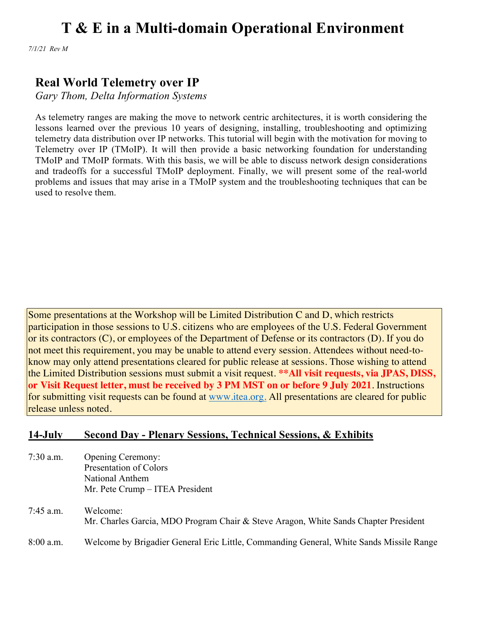*7/1/21 Rev M*

### **Real World Telemetry over IP**

*Gary Thom, Delta Information Systems*

As telemetry ranges are making the move to network centric architectures, it is worth considering the lessons learned over the previous 10 years of designing, installing, troubleshooting and optimizing telemetry data distribution over IP networks. This tutorial will begin with the motivation for moving to Telemetry over IP (TMoIP). It will then provide a basic networking foundation for understanding TMoIP and TMoIP formats. With this basis, we will be able to discuss network design considerations and tradeoffs for a successful TMoIP deployment. Finally, we will present some of the real-world problems and issues that may arise in a TMoIP system and the troubleshooting techniques that can be used to resolve them.

Some presentations at the Workshop will be Limited Distribution C and D, which restricts participation in those sessions to U.S. citizens who are employees of the U.S. Federal Government or its contractors (C), or employees of the Department of Defense or its contractors (D). If you do not meet this requirement, you may be unable to attend every session. Attendees without need-toknow may only attend presentations cleared for public release at sessions. Those wishing to attend the Limited Distribution sessions must submit a visit request. **\*\*All visit requests, via JPAS, DISS, or Visit Request letter, must be received by 3 PM MST on or before 9 July 2021**. Instructions for submitting visit requests can be found at www.itea.org. All presentations are cleared for public release unless noted.

#### **14-July Second Day - Plenary Sessions, Technical Sessions, & Exhibits**

- 7:30 a.m. Opening Ceremony: Presentation of Colors National Anthem Mr. Pete Crump – ITEA President
- 7:45 a.m. Welcome: Mr. Charles Garcia, MDO Program Chair & Steve Aragon, White Sands Chapter President 8:00 a.m. Welcome by Brigadier General Eric Little, Commanding General, White Sands Missile Range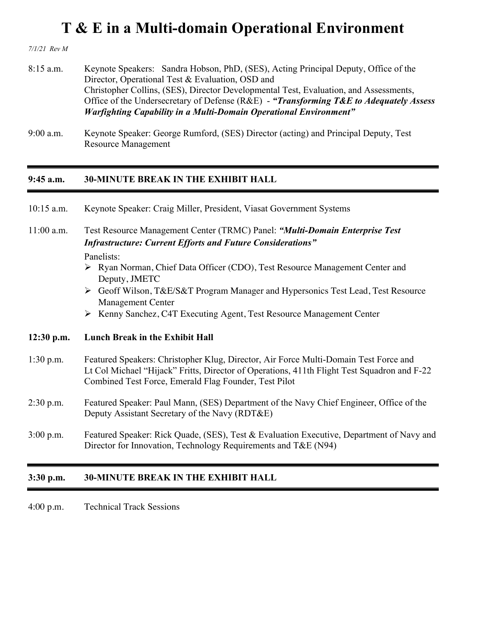*7/1/21 Rev M*

- 8:15 a.m. Keynote Speakers: Sandra Hobson, PhD, (SES), Acting Principal Deputy, Office of the Director, Operational Test & Evaluation, OSD and Christopher Collins, (SES), Director Developmental Test, Evaluation, and Assessments, Office of the Undersecretary of Defense (R&E) - *"Transforming T&E to Adequately Assess Warfighting Capability in a Multi-Domain Operational Environment"*
- 9:00 a.m. Keynote Speaker: George Rumford, (SES) Director (acting) and Principal Deputy, Test Resource Management

#### **9:45 a.m. 30-MINUTE BREAK IN THE EXHIBIT HALL**

| $10:15$ a.m. | Keynote Speaker: Craig Miller, President, Viasat Government Systems                                                                                                                                                                          |  |  |  |
|--------------|----------------------------------------------------------------------------------------------------------------------------------------------------------------------------------------------------------------------------------------------|--|--|--|
| $11:00$ a.m. | Test Resource Management Center (TRMC) Panel: "Multi-Domain Enterprise Test<br><b>Infrastructure: Current Efforts and Future Considerations"</b><br>Panelists:                                                                               |  |  |  |
|              | > Ryan Norman, Chief Data Officer (CDO), Test Resource Management Center and<br>Deputy, JMETC                                                                                                                                                |  |  |  |
|              | ► Geoff Wilson, T&E/S&T Program Manager and Hypersonics Test Lead, Test Resource<br><b>Management Center</b>                                                                                                                                 |  |  |  |
|              | ▶ Kenny Sanchez, C4T Executing Agent, Test Resource Management Center                                                                                                                                                                        |  |  |  |
| $12:30$ p.m. | <b>Lunch Break in the Exhibit Hall</b>                                                                                                                                                                                                       |  |  |  |
| $1:30$ p.m.  | Featured Speakers: Christopher Klug, Director, Air Force Multi-Domain Test Force and<br>Lt Col Michael "Hijack" Fritts, Director of Operations, 411th Flight Test Squadron and F-22<br>Combined Test Force, Emerald Flag Founder, Test Pilot |  |  |  |
| $2:30$ p.m.  | Featured Speaker: Paul Mann, (SES) Department of the Navy Chief Engineer, Office of the<br>Deputy Assistant Secretary of the Navy (RDT&E)                                                                                                    |  |  |  |
| $3:00$ p.m.  | Featured Speaker: Rick Quade, (SES), Test & Evaluation Executive, Department of Navy and<br>Director for Innovation, Technology Requirements and T&E (N94)                                                                                   |  |  |  |
|              |                                                                                                                                                                                                                                              |  |  |  |

### **3:30 p.m. 30-MINUTE BREAK IN THE EXHIBIT HALL**

4:00 p.m. Technical Track Sessions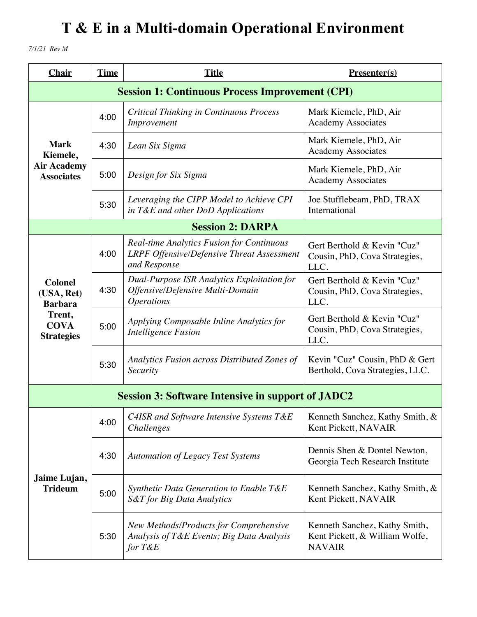*7/1/21 Rev M*

| <b>Chair</b>                                   | <b>Time</b> | <b>Title</b>                                                                                                          | $Presenter(s)$                                                                   |
|------------------------------------------------|-------------|-----------------------------------------------------------------------------------------------------------------------|----------------------------------------------------------------------------------|
|                                                |             | <b>Session 1: Continuous Process Improvement (CPI)</b>                                                                |                                                                                  |
|                                                | 4:00        | <b>Critical Thinking in Continuous Process</b><br>Improvement                                                         | Mark Kiemele, PhD, Air<br><b>Academy Associates</b>                              |
| <b>Mark</b><br>Kiemele,                        | 4:30        | Lean Six Sigma                                                                                                        | Mark Kiemele, PhD, Air<br><b>Academy Associates</b>                              |
| <b>Air Academy</b><br><b>Associates</b>        | 5:00        | Design for Six Sigma                                                                                                  | Mark Kiemele, PhD, Air<br><b>Academy Associates</b>                              |
|                                                | 5:30        | Leveraging the CIPP Model to Achieve CPI<br>in T&E and other DoD Applications                                         | Joe Stufflebeam, PhD, TRAX<br>International                                      |
|                                                |             | <b>Session 2: DARPA</b>                                                                                               |                                                                                  |
|                                                | 4:00        | <b>Real-time Analytics Fusion for Continuous</b><br><b>LRPF Offensive/Defensive Threat Assessment</b><br>and Response | Gert Berthold & Kevin "Cuz"<br>Cousin, PhD, Cova Strategies,<br>LLC.             |
| <b>Colonel</b><br>(USA, Ret)<br><b>Barbara</b> | 4:30        | <b>Dual-Purpose ISR Analytics Exploitation for</b><br>Offensive/Defensive Multi-Domain<br><i><b>Operations</b></i>    | Gert Berthold & Kevin "Cuz"<br>Cousin, PhD, Cova Strategies,<br>LLC.             |
| Trent,<br><b>COVA</b><br><b>Strategies</b>     | 5:00        | Applying Composable Inline Analytics for<br><b>Intelligence Fusion</b>                                                | Gert Berthold & Kevin "Cuz"<br>Cousin, PhD, Cova Strategies,<br>LLC.             |
|                                                | 5:30        | Analytics Fusion across Distributed Zones of<br>Security                                                              | Kevin "Cuz" Cousin, PhD & Gert<br>Berthold, Cova Strategies, LLC.                |
|                                                |             | <b>Session 3: Software Intensive in support of JADC2</b>                                                              |                                                                                  |
|                                                | 4:00        | C4ISR and Software Intensive Systems T&E<br><i>Challenges</i>                                                         | Kenneth Sanchez, Kathy Smith, &<br>Kent Pickett, NAVAIR                          |
|                                                | 4:30        | <b>Automation of Legacy Test Systems</b>                                                                              | Dennis Shen & Dontel Newton,<br>Georgia Tech Research Institute                  |
| Jaime Lujan,<br><b>Trideum</b>                 | 5:00        | Synthetic Data Generation to Enable T&E<br>S&T for Big Data Analytics                                                 | Kenneth Sanchez, Kathy Smith, &<br>Kent Pickett, NAVAIR                          |
|                                                | 5:30        | New Methods/Products for Comprehensive<br>Analysis of T&E Events; Big Data Analysis<br>for T&E                        | Kenneth Sanchez, Kathy Smith,<br>Kent Pickett, & William Wolfe,<br><b>NAVAIR</b> |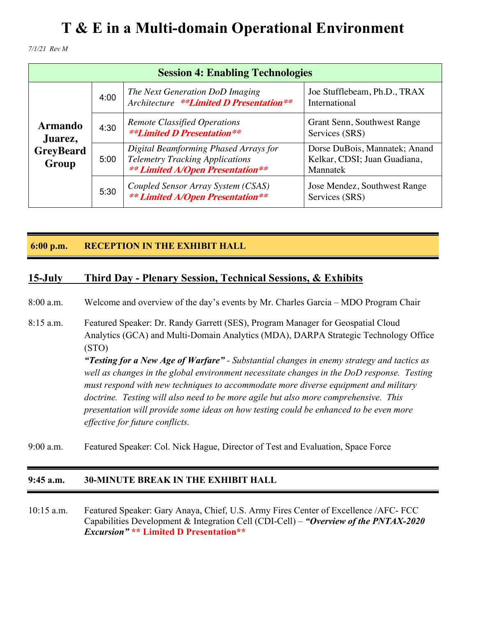*7/1/21 Rev M*

| <b>Session 4: Enabling Technologies</b> |      |                                                                                                                            |                                                                           |
|-----------------------------------------|------|----------------------------------------------------------------------------------------------------------------------------|---------------------------------------------------------------------------|
|                                         | 4:00 | The Next Generation DoD Imaging<br>Architecture **Limited D Presentation**                                                 | Joe Stufflebeam, Ph.D., TRAX<br>International                             |
| <b>Armando</b><br>Juarez,               | 4:30 | <b>Remote Classified Operations</b><br><b>**Limited D Presentation**</b>                                                   | Grant Senn, Southwest Range<br>Services (SRS)                             |
| <b>GreyBeard</b><br>Group               | 5:00 | Digital Beamforming Phased Arrays for<br><b>Telemetry Tracking Applications</b><br><b>** Limited A/Open Presentation**</b> | Dorse DuBois, Mannatek; Anand<br>Kelkar, CDSI; Juan Guadiana,<br>Mannatek |
|                                         | 5:30 | Coupled Sensor Array System (CSAS)<br><b>** Limited A/Open Presentation**</b>                                              | Jose Mendez, Southwest Range<br>Services (SRS)                            |

#### **6:00 p.m. RECEPTION IN THE EXHIBIT HALL**

#### **15-July Third Day - Plenary Session, Technical Sessions, & Exhibits**

8:00 a.m. Welcome and overview of the day's events by Mr. Charles Garcia – MDO Program Chair

8:15 a.m. Featured Speaker: Dr. Randy Garrett (SES), Program Manager for Geospatial Cloud Analytics (GCA) and Multi-Domain Analytics (MDA), DARPA Strategic Technology Office (STO) *"Testing for a New Age of Warfare" - Substantial changes in enemy strategy and tactics as well as changes in the global environment necessitate changes in the DoD response. Testing must respond with new techniques to accommodate more diverse equipment and military doctrine. Testing will also need to be more agile but also more comprehensive. This* 

*presentation will provide some ideas on how testing could be enhanced to be even more effective for future conflicts.*

9:00 a.m. Featured Speaker: Col. Nick Hague, Director of Test and Evaluation, Space Force

#### **9:45 a.m. 30-MINUTE BREAK IN THE EXHIBIT HALL**

10:15 a.m. Featured Speaker: Gary Anaya, Chief, U.S. Army Fires Center of Excellence /AFC- FCC Capabilities Development & Integration Cell (CDI-Cell) – *"Overview of the PNTAX-2020 Excursion"* **\*\* Limited D Presentation\*\***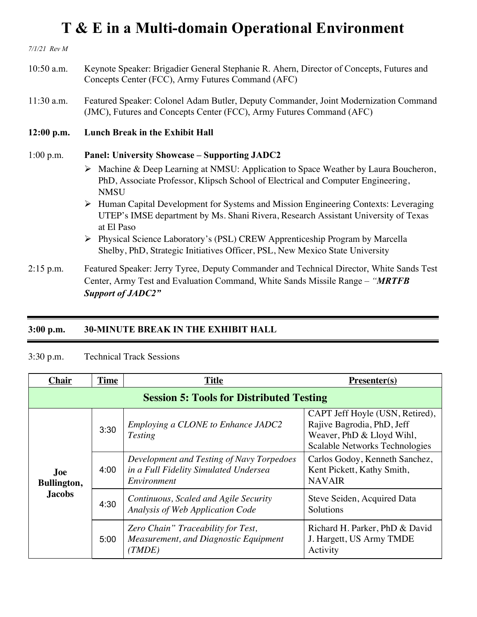*7/1/21 Rev M* 10:50 a.m. Keynote Speaker: Brigadier General Stephanie R. Ahern, Director of Concepts, Futures and Concepts Center (FCC), Army Futures Command (AFC) 11:30 a.m. Featured Speaker: Colonel Adam Butler, Deputy Commander, Joint Modernization Command (JMC), Futures and Concepts Center (FCC), Army Futures Command (AFC) **12:00 p.m. Lunch Break in the Exhibit Hall** 1:00 p.m. **Panel: University Showcase – Supporting JADC2**  Ø Machine & Deep Learning at NMSU: Application to Space Weather by Laura Boucheron, PhD, Associate Professor, Klipsch School of Electrical and Computer Engineering, **NMSU** Ø Human Capital Development for Systems and Mission Engineering Contexts: Leveraging UTEP's IMSE department by Ms. Shani Rivera, Research Assistant University of Texas at El Paso Ø Physical Science Laboratory's (PSL) CREW Apprenticeship Program by Marcella Shelby, PhD, Strategic Initiatives Officer, PSL, New Mexico State University 2:15 p.m. Featured Speaker: Jerry Tyree, Deputy Commander and Technical Director, White Sands Test Center, Army Test and Evaluation Command, White Sands Missile Range – *"MRTFB* 

*Support of JADC2"*

#### **3:00 p.m. 30-MINUTE BREAK IN THE EXHIBIT HALL**

#### 3:30 p.m. Technical Track Sessions

| <b>Chair</b>                                    | <b>Time</b> | <b>Title</b>                                                                                      | $Presenter(s)$                                                                                                               |
|-------------------------------------------------|-------------|---------------------------------------------------------------------------------------------------|------------------------------------------------------------------------------------------------------------------------------|
| <b>Session 5: Tools for Distributed Testing</b> |             |                                                                                                   |                                                                                                                              |
| Joe.<br>Bullington,<br><b>Jacobs</b>            | 3:30        | Employing a CLONE to Enhance JADC2<br><b>Testing</b>                                              | CAPT Jeff Hoyle (USN, Retired),<br>Rajive Bagrodia, PhD, Jeff<br>Weaver, PhD & Lloyd Wihl,<br>Scalable Networks Technologies |
|                                                 | 4:00        | Development and Testing of Navy Torpedoes<br>in a Full Fidelity Simulated Undersea<br>Environment | Carlos Godoy, Kenneth Sanchez,<br>Kent Pickett, Kathy Smith,<br><b>NAVAIR</b>                                                |
|                                                 | 4:30        | Continuous, Scaled and Agile Security<br>Analysis of Web Application Code                         | Steve Seiden, Acquired Data<br>Solutions                                                                                     |
|                                                 | 5:00        | Zero Chain" Traceability for Test,<br>Measurement, and Diagnostic Equipment<br>(TMDE)             | Richard H. Parker, PhD & David<br>J. Hargett, US Army TMDE<br>Activity                                                       |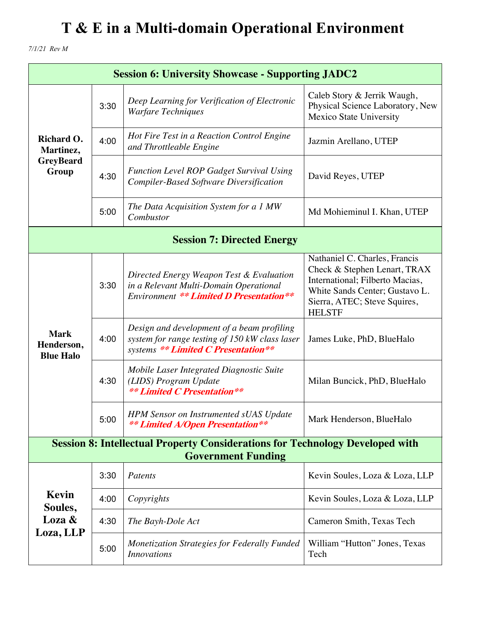*7/1/21 Rev M*

| <b>Session 6: University Showcase - Supporting JADC2</b>                                                          |      |                                                                                                                                      |                                                                                                                                                                                     |
|-------------------------------------------------------------------------------------------------------------------|------|--------------------------------------------------------------------------------------------------------------------------------------|-------------------------------------------------------------------------------------------------------------------------------------------------------------------------------------|
| Richard O.<br>Martinez,<br><b>GreyBeard</b><br>Group                                                              | 3:30 | Deep Learning for Verification of Electronic<br><b>Warfare Techniques</b>                                                            | Caleb Story & Jerrik Waugh,<br>Physical Science Laboratory, New<br><b>Mexico State University</b>                                                                                   |
|                                                                                                                   | 4:00 | Hot Fire Test in a Reaction Control Engine<br>and Throttleable Engine                                                                | Jazmin Arellano, UTEP                                                                                                                                                               |
|                                                                                                                   | 4:30 | <b>Function Level ROP Gadget Survival Using</b><br><b>Compiler-Based Software Diversification</b>                                    | David Reyes, UTEP                                                                                                                                                                   |
|                                                                                                                   | 5:00 | The Data Acquisition System for a 1 MW<br>Combustor                                                                                  | Md Mohieminul I. Khan, UTEP                                                                                                                                                         |
| <b>Session 7: Directed Energy</b>                                                                                 |      |                                                                                                                                      |                                                                                                                                                                                     |
|                                                                                                                   | 3:30 | Directed Energy Weapon Test & Evaluation<br>in a Relevant Multi-Domain Operational<br><b>Environment ** Limited D Presentation**</b> | Nathaniel C. Charles, Francis<br>Check & Stephen Lenart, TRAX<br>International; Filberto Macias,<br>White Sands Center; Gustavo L.<br>Sierra, ATEC; Steve Squires,<br><b>HELSTF</b> |
| <b>Mark</b><br>Henderson,<br><b>Blue Halo</b>                                                                     | 4:00 | Design and development of a beam profiling<br>system for range testing of 150 kW class laser<br>systems ** Limited C Presentation**  | James Luke, PhD, BlueHalo                                                                                                                                                           |
|                                                                                                                   | 4:30 | Mobile Laser Integrated Diagnostic Suite<br>(LIDS) Program Update<br><b>** Limited C Presentation**</b>                              | Milan Buncick, PhD, BlueHalo                                                                                                                                                        |
|                                                                                                                   | 5:00 | <b>HPM Sensor on Instrumented sUAS Update</b><br><b>** Limited A/Open Presentation**</b>                                             | Mark Henderson, BlueHalo                                                                                                                                                            |
| <b>Session 8: Intellectual Property Considerations for Technology Developed with</b><br><b>Government Funding</b> |      |                                                                                                                                      |                                                                                                                                                                                     |
|                                                                                                                   | 3:30 | Patents                                                                                                                              | Kevin Soules, Loza & Loza, LLP                                                                                                                                                      |
| Kevin<br>Soules,                                                                                                  | 4:00 | Copyrights                                                                                                                           | Kevin Soules, Loza & Loza, LLP                                                                                                                                                      |
| Loza &                                                                                                            | 4:30 | The Bayh-Dole Act                                                                                                                    | Cameron Smith, Texas Tech                                                                                                                                                           |
| Loza, LLP                                                                                                         | 5:00 | <b>Monetization Strategies for Federally Funded</b><br><i>Innovations</i>                                                            | William "Hutton" Jones, Texas<br>Tech                                                                                                                                               |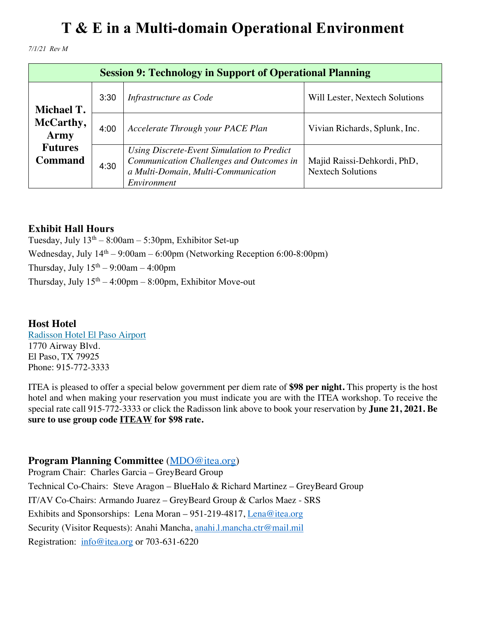*7/1/21 Rev M*

| <b>Session 9: Technology in Support of Operational Planning</b> |      |                                                                                                                                              |                                                         |
|-----------------------------------------------------------------|------|----------------------------------------------------------------------------------------------------------------------------------------------|---------------------------------------------------------|
| <b>Michael T.</b>                                               | 3:30 | Infrastructure as Code                                                                                                                       | Will Lester, Nextech Solutions                          |
| McCarthy,<br>Army                                               | 4:00 | Accelerate Through your PACE Plan                                                                                                            | Vivian Richards, Splunk, Inc.                           |
| <b>Futures</b><br><b>Command</b>                                | 4:30 | Using Discrete-Event Simulation to Predict<br>Communication Challenges and Outcomes in<br>a Multi-Domain, Multi-Communication<br>Environment | Majid Raissi-Dehkordi, PhD,<br><b>Nextech Solutions</b> |

#### **Exhibit Hall Hours**

Tuesday, July  $13<sup>th</sup> - 8:00am - 5:30pm$ , Exhibitor Set-up Wednesday, July  $14<sup>th</sup> - 9:00$ am – 6:00pm (Networking Reception 6:00-8:00pm) Thursday, July  $15<sup>th</sup> - 9:00$ am  $- 4:00$ pm Thursday, July  $15<sup>th</sup> - 4:00<sub>pm</sub> - 8:00<sub>pm</sub>$ , Exhibitor Move-out

#### **Host Hotel** Radisson Hotel El Paso Airport 1770 Airway Blvd. El Paso, TX 79925 Phone: 915-772-3333

ITEA is pleased to offer a special below government per diem rate of **\$98 per night.** This property is the host hotel and when making your reservation you must indicate you are with the ITEA workshop. To receive the special rate call 915-772-3333 or click the Radisson link above to book your reservation by **June 21, 2021. Be sure to use group code ITEAW for \$98 rate.**

#### **Program Planning Committee** (MDO@itea.org)

Program Chair: Charles Garcia – GreyBeard Group Technical Co-Chairs: Steve Aragon – BlueHalo & Richard Martinez – GreyBeard Group IT/AV Co-Chairs: Armando Juarez – GreyBeard Group & Carlos Maez - SRS Exhibits and Sponsorships: Lena Moran – 951-219-4817, Lena@itea.org Security (Visitor Requests): Anahi Mancha, anahi.l.mancha.ctr@mail.mil Registration: info@itea.org or 703-631-6220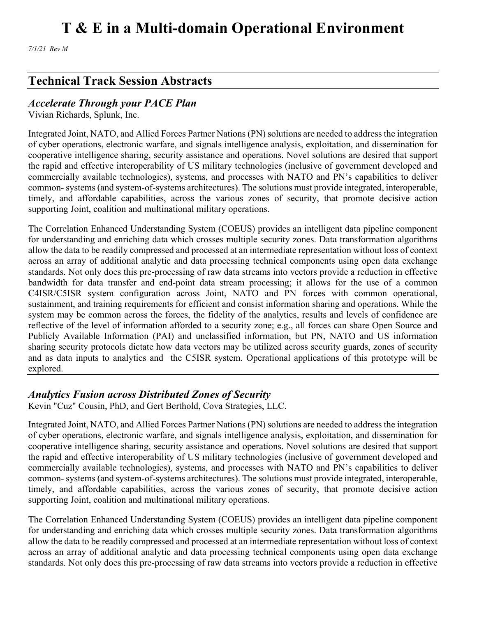*7/1/21 Rev M*

### **Technical Track Session Abstracts**

#### *Accelerate Through your PACE Plan*

Vivian Richards, Splunk, Inc.

Integrated Joint, NATO, and Allied Forces Partner Nations (PN) solutions are needed to address the integration of cyber operations, electronic warfare, and signals intelligence analysis, exploitation, and dissemination for cooperative intelligence sharing, security assistance and operations. Novel solutions are desired that support the rapid and effective interoperability of US military technologies (inclusive of government developed and commercially available technologies), systems, and processes with NATO and PN's capabilities to deliver common- systems (and system-of-systems architectures). The solutions must provide integrated, interoperable, timely, and affordable capabilities, across the various zones of security, that promote decisive action supporting Joint, coalition and multinational military operations.

The Correlation Enhanced Understanding System (COEUS) provides an intelligent data pipeline component for understanding and enriching data which crosses multiple security zones. Data transformation algorithms allow the data to be readily compressed and processed at an intermediate representation without loss of context across an array of additional analytic and data processing technical components using open data exchange standards. Not only does this pre-processing of raw data streams into vectors provide a reduction in effective bandwidth for data transfer and end-point data stream processing; it allows for the use of a common C4ISR/C5ISR system configuration across Joint, NATO and PN forces with common operational, sustainment, and training requirements for efficient and consist information sharing and operations. While the system may be common across the forces, the fidelity of the analytics, results and levels of confidence are reflective of the level of information afforded to a security zone; e.g., all forces can share Open Source and Publicly Available Information (PAI) and unclassified information, but PN, NATO and US information sharing security protocols dictate how data vectors may be utilized across security guards, zones of security and as data inputs to analytics and the C5ISR system. Operational applications of this prototype will be explored.

### *Analytics Fusion across Distributed Zones of Security*

Kevin "Cuz" Cousin, PhD, and Gert Berthold, Cova Strategies, LLC.

Integrated Joint, NATO, and Allied Forces Partner Nations (PN) solutions are needed to address the integration of cyber operations, electronic warfare, and signals intelligence analysis, exploitation, and dissemination for cooperative intelligence sharing, security assistance and operations. Novel solutions are desired that support the rapid and effective interoperability of US military technologies (inclusive of government developed and commercially available technologies), systems, and processes with NATO and PN's capabilities to deliver common- systems (and system-of-systems architectures). The solutions must provide integrated, interoperable, timely, and affordable capabilities, across the various zones of security, that promote decisive action supporting Joint, coalition and multinational military operations.

The Correlation Enhanced Understanding System (COEUS) provides an intelligent data pipeline component for understanding and enriching data which crosses multiple security zones. Data transformation algorithms allow the data to be readily compressed and processed at an intermediate representation without loss of context across an array of additional analytic and data processing technical components using open data exchange standards. Not only does this pre-processing of raw data streams into vectors provide a reduction in effective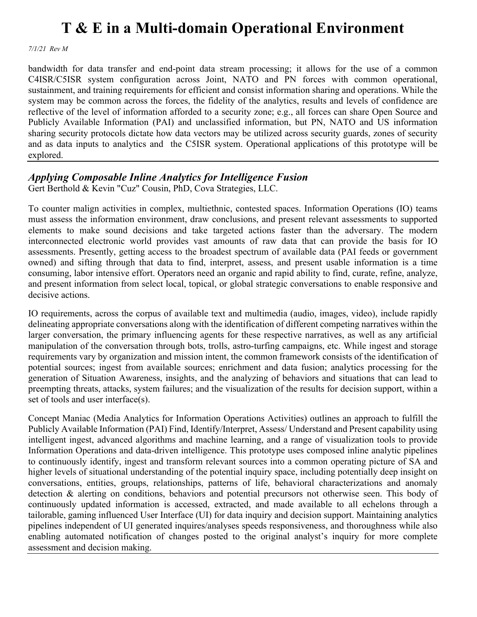*7/1/21 Rev M*

bandwidth for data transfer and end-point data stream processing; it allows for the use of a common C4ISR/C5ISR system configuration across Joint, NATO and PN forces with common operational, sustainment, and training requirements for efficient and consist information sharing and operations. While the system may be common across the forces, the fidelity of the analytics, results and levels of confidence are reflective of the level of information afforded to a security zone; e.g., all forces can share Open Source and Publicly Available Information (PAI) and unclassified information, but PN, NATO and US information sharing security protocols dictate how data vectors may be utilized across security guards, zones of security and as data inputs to analytics and the C5ISR system. Operational applications of this prototype will be explored.

#### *Applying Composable Inline Analytics for Intelligence Fusion*

Gert Berthold & Kevin "Cuz" Cousin, PhD, Cova Strategies, LLC.

To counter malign activities in complex, multiethnic, contested spaces. Information Operations (IO) teams must assess the information environment, draw conclusions, and present relevant assessments to supported elements to make sound decisions and take targeted actions faster than the adversary. The modern interconnected electronic world provides vast amounts of raw data that can provide the basis for IO assessments. Presently, getting access to the broadest spectrum of available data (PAI feeds or government owned) and sifting through that data to find, interpret, assess, and present usable information is a time consuming, labor intensive effort. Operators need an organic and rapid ability to find, curate, refine, analyze, and present information from select local, topical, or global strategic conversations to enable responsive and decisive actions.

IO requirements, across the corpus of available text and multimedia (audio, images, video), include rapidly delineating appropriate conversations along with the identification of different competing narratives within the larger conversation, the primary influencing agents for these respective narratives, as well as any artificial manipulation of the conversation through bots, trolls, astro-turfing campaigns, etc. While ingest and storage requirements vary by organization and mission intent, the common framework consists of the identification of potential sources; ingest from available sources; enrichment and data fusion; analytics processing for the generation of Situation Awareness, insights, and the analyzing of behaviors and situations that can lead to preempting threats, attacks, system failures; and the visualization of the results for decision support, within a set of tools and user interface(s).

Concept Maniac (Media Analytics for Information Operations Activities) outlines an approach to fulfill the Publicly Available Information (PAI) Find, Identify/Interpret, Assess/ Understand and Present capability using intelligent ingest, advanced algorithms and machine learning, and a range of visualization tools to provide Information Operations and data-driven intelligence. This prototype uses composed inline analytic pipelines to continuously identify, ingest and transform relevant sources into a common operating picture of SA and higher levels of situational understanding of the potential inquiry space, including potentially deep insight on conversations, entities, groups, relationships, patterns of life, behavioral characterizations and anomaly detection & alerting on conditions, behaviors and potential precursors not otherwise seen. This body of continuously updated information is accessed, extracted, and made available to all echelons through a tailorable, gaming influenced User Interface (UI) for data inquiry and decision support. Maintaining analytics pipelines independent of UI generated inquires/analyses speeds responsiveness, and thoroughness while also enabling automated notification of changes posted to the original analyst's inquiry for more complete assessment and decision making.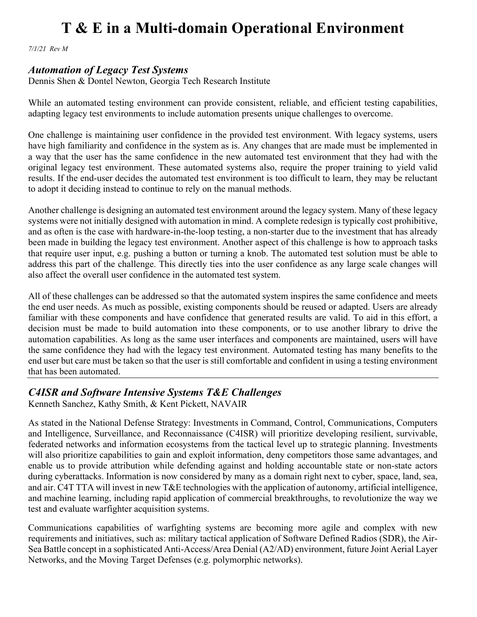*7/1/21 Rev M*

#### *Automation of Legacy Test Systems*

Dennis Shen & Dontel Newton, Georgia Tech Research Institute

While an automated testing environment can provide consistent, reliable, and efficient testing capabilities, adapting legacy test environments to include automation presents unique challenges to overcome.

One challenge is maintaining user confidence in the provided test environment. With legacy systems, users have high familiarity and confidence in the system as is. Any changes that are made must be implemented in a way that the user has the same confidence in the new automated test environment that they had with the original legacy test environment. These automated systems also, require the proper training to yield valid results. If the end-user decides the automated test environment is too difficult to learn, they may be reluctant to adopt it deciding instead to continue to rely on the manual methods.

Another challenge is designing an automated test environment around the legacy system. Many of these legacy systems were not initially designed with automation in mind. A complete redesign is typically cost prohibitive, and as often is the case with hardware-in-the-loop testing, a non-starter due to the investment that has already been made in building the legacy test environment. Another aspect of this challenge is how to approach tasks that require user input, e.g. pushing a button or turning a knob. The automated test solution must be able to address this part of the challenge. This directly ties into the user confidence as any large scale changes will also affect the overall user confidence in the automated test system.

All of these challenges can be addressed so that the automated system inspires the same confidence and meets the end user needs. As much as possible, existing components should be reused or adapted. Users are already familiar with these components and have confidence that generated results are valid. To aid in this effort, a decision must be made to build automation into these components, or to use another library to drive the automation capabilities. As long as the same user interfaces and components are maintained, users will have the same confidence they had with the legacy test environment. Automated testing has many benefits to the end user but care must be taken so that the user is still comfortable and confident in using a testing environment that has been automated.

#### *C4ISR and Software Intensive Systems T&E Challenges*

Kenneth Sanchez, Kathy Smith, & Kent Pickett, NAVAIR

As stated in the National Defense Strategy: Investments in Command, Control, Communications, Computers and Intelligence, Surveillance, and Reconnaissance (C4ISR) will prioritize developing resilient, survivable, federated networks and information ecosystems from the tactical level up to strategic planning. Investments will also prioritize capabilities to gain and exploit information, deny competitors those same advantages, and enable us to provide attribution while defending against and holding accountable state or non-state actors during cyberattacks. Information is now considered by many as a domain right next to cyber, space, land, sea, and air. C4T TTA will invest in new T&E technologies with the application of autonomy, artificial intelligence, and machine learning, including rapid application of commercial breakthroughs, to revolutionize the way we test and evaluate warfighter acquisition systems.

Communications capabilities of warfighting systems are becoming more agile and complex with new requirements and initiatives, such as: military tactical application of Software Defined Radios (SDR), the Air-Sea Battle concept in a sophisticated Anti-Access/Area Denial (A2/AD) environment, future Joint Aerial Layer Networks, and the Moving Target Defenses (e.g. polymorphic networks).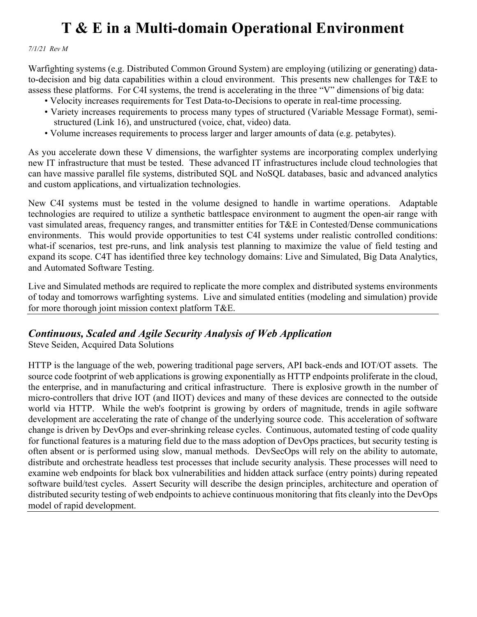*7/1/21 Rev M*

Warfighting systems (e.g. Distributed Common Ground System) are employing (utilizing or generating) datato-decision and big data capabilities within a cloud environment. This presents new challenges for T&E to assess these platforms. For C4I systems, the trend is accelerating in the three "V" dimensions of big data:

- Velocity increases requirements for Test Data-to-Decisions to operate in real-time processing.
- Variety increases requirements to process many types of structured (Variable Message Format), semi structured (Link 16), and unstructured (voice, chat, video) data.
- Volume increases requirements to process larger and larger amounts of data (e.g. petabytes).

As you accelerate down these V dimensions, the warfighter systems are incorporating complex underlying new IT infrastructure that must be tested. These advanced IT infrastructures include cloud technologies that can have massive parallel file systems, distributed SQL and NoSQL databases, basic and advanced analytics and custom applications, and virtualization technologies.

New C4I systems must be tested in the volume designed to handle in wartime operations. Adaptable technologies are required to utilize a synthetic battlespace environment to augment the open-air range with vast simulated areas, frequency ranges, and transmitter entities for T&E in Contested/Dense communications environments. This would provide opportunities to test C4I systems under realistic controlled conditions: what-if scenarios, test pre-runs, and link analysis test planning to maximize the value of field testing and expand its scope. C4T has identified three key technology domains: Live and Simulated, Big Data Analytics, and Automated Software Testing.

Live and Simulated methods are required to replicate the more complex and distributed systems environments of today and tomorrows warfighting systems. Live and simulated entities (modeling and simulation) provide for more thorough joint mission context platform T&E.

#### *Continuous, Scaled and Agile Security Analysis of Web Application*

Steve Seiden, Acquired Data Solutions

HTTP is the language of the web, powering traditional page servers, API back-ends and IOT/OT assets. The source code footprint of web applications is growing exponentially as HTTP endpoints proliferate in the cloud, the enterprise, and in manufacturing and critical infrastructure. There is explosive growth in the number of micro-controllers that drive IOT (and IIOT) devices and many of these devices are connected to the outside world via HTTP. While the web's footprint is growing by orders of magnitude, trends in agile software development are accelerating the rate of change of the underlying source code. This acceleration of software change is driven by DevOps and ever-shrinking release cycles. Continuous, automated testing of code quality for functional features is a maturing field due to the mass adoption of DevOps practices, but security testing is often absent or is performed using slow, manual methods. DevSecOps will rely on the ability to automate, distribute and orchestrate headless test processes that include security analysis. These processes will need to examine web endpoints for black box vulnerabilities and hidden attack surface (entry points) during repeated software build/test cycles. Assert Security will describe the design principles, architecture and operation of distributed security testing of web endpoints to achieve continuous monitoring that fits cleanly into the DevOps model of rapid development.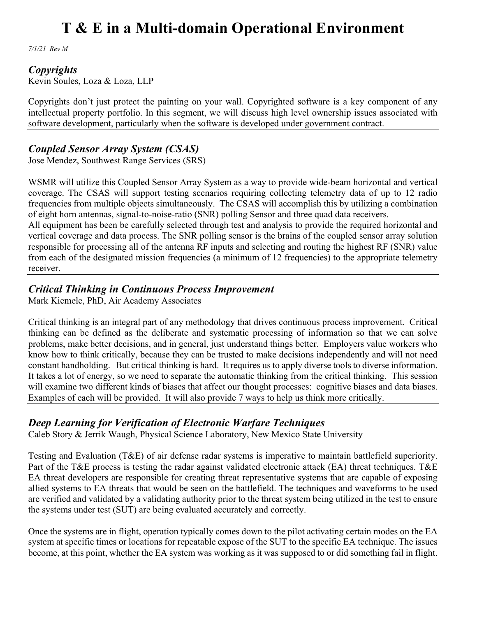*7/1/21 Rev M*

#### *Copyrights*

Kevin Soules, Loza & Loza, LLP

Copyrights don't just protect the painting on your wall. Copyrighted software is a key component of any intellectual property portfolio. In this segment, we will discuss high level ownership issues associated with software development, particularly when the software is developed under government contract.

### *Coupled Sensor Array System (CSAS)*

Jose Mendez, Southwest Range Services (SRS)

WSMR will utilize this Coupled Sensor Array System as a way to provide wide-beam horizontal and vertical coverage. The CSAS will support testing scenarios requiring collecting telemetry data of up to 12 radio frequencies from multiple objects simultaneously. The CSAS will accomplish this by utilizing a combination of eight horn antennas, signal-to-noise-ratio (SNR) polling Sensor and three quad data receivers.

All equipment has been be carefully selected through test and analysis to provide the required horizontal and vertical coverage and data process. The SNR polling sensor is the brains of the coupled sensor array solution responsible for processing all of the antenna RF inputs and selecting and routing the highest RF (SNR) value from each of the designated mission frequencies (a minimum of 12 frequencies) to the appropriate telemetry receiver.

#### *Critical Thinking in Continuous Process Improvement*

Mark Kiemele, PhD, Air Academy Associates

Critical thinking is an integral part of any methodology that drives continuous process improvement. Critical thinking can be defined as the deliberate and systematic processing of information so that we can solve problems, make better decisions, and in general, just understand things better. Employers value workers who know how to think critically, because they can be trusted to make decisions independently and will not need constant handholding. But critical thinking is hard. It requires us to apply diverse tools to diverse information. It takes a lot of energy, so we need to separate the automatic thinking from the critical thinking. This session will examine two different kinds of biases that affect our thought processes: cognitive biases and data biases. Examples of each will be provided. It will also provide 7 ways to help us think more critically.

### *Deep Learning for Verification of Electronic Warfare Techniques*

Caleb Story & Jerrik Waugh, Physical Science Laboratory, New Mexico State University

Testing and Evaluation (T&E) of air defense radar systems is imperative to maintain battlefield superiority. Part of the T&E process is testing the radar against validated electronic attack (EA) threat techniques. T&E EA threat developers are responsible for creating threat representative systems that are capable of exposing allied systems to EA threats that would be seen on the battlefield. The techniques and waveforms to be used are verified and validated by a validating authority prior to the threat system being utilized in the test to ensure the systems under test (SUT) are being evaluated accurately and correctly.

Once the systems are in flight, operation typically comes down to the pilot activating certain modes on the EA system at specific times or locations for repeatable expose of the SUT to the specific EA technique. The issues become, at this point, whether the EA system was working as it was supposed to or did something fail in flight.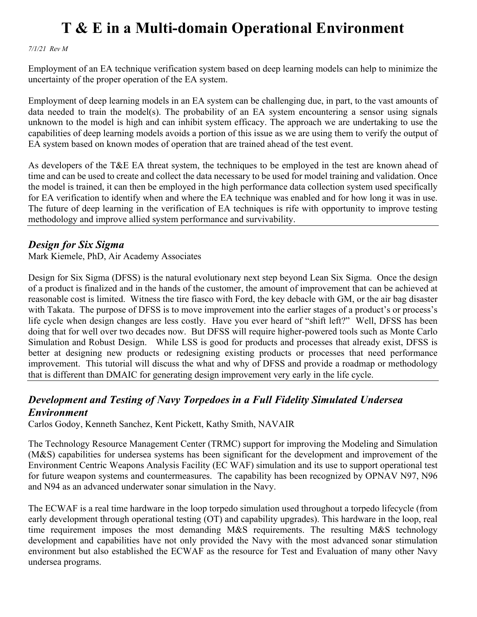*7/1/21 Rev M*

Employment of an EA technique verification system based on deep learning models can help to minimize the uncertainty of the proper operation of the EA system.

Employment of deep learning models in an EA system can be challenging due, in part, to the vast amounts of data needed to train the model(s). The probability of an EA system encountering a sensor using signals unknown to the model is high and can inhibit system efficacy. The approach we are undertaking to use the capabilities of deep learning models avoids a portion of this issue as we are using them to verify the output of EA system based on known modes of operation that are trained ahead of the test event.

As developers of the T&E EA threat system, the techniques to be employed in the test are known ahead of time and can be used to create and collect the data necessary to be used for model training and validation. Once the model is trained, it can then be employed in the high performance data collection system used specifically for EA verification to identify when and where the EA technique was enabled and for how long it was in use. The future of deep learning in the verification of EA techniques is rife with opportunity to improve testing methodology and improve allied system performance and survivability.

#### *Design for Six Sigma*

Mark Kiemele, PhD, Air Academy Associates

Design for Six Sigma (DFSS) is the natural evolutionary next step beyond Lean Six Sigma. Once the design of a product is finalized and in the hands of the customer, the amount of improvement that can be achieved at reasonable cost is limited. Witness the tire fiasco with Ford, the key debacle with GM, or the air bag disaster with Takata. The purpose of DFSS is to move improvement into the earlier stages of a product's or process's life cycle when design changes are less costly. Have you ever heard of "shift left?" Well, DFSS has been doing that for well over two decades now. But DFSS will require higher-powered tools such as Monte Carlo Simulation and Robust Design. While LSS is good for products and processes that already exist, DFSS is better at designing new products or redesigning existing products or processes that need performance improvement. This tutorial will discuss the what and why of DFSS and provide a roadmap or methodology that is different than DMAIC for generating design improvement very early in the life cycle.

### *Development and Testing of Navy Torpedoes in a Full Fidelity Simulated Undersea Environment*

Carlos Godoy, Kenneth Sanchez, Kent Pickett, Kathy Smith, NAVAIR

The Technology Resource Management Center (TRMC) support for improving the Modeling and Simulation (M&S) capabilities for undersea systems has been significant for the development and improvement of the Environment Centric Weapons Analysis Facility (EC WAF) simulation and its use to support operational test for future weapon systems and countermeasures. The capability has been recognized by OPNAV N97, N96 and N94 as an advanced underwater sonar simulation in the Navy.

The ECWAF is a real time hardware in the loop torpedo simulation used throughout a torpedo lifecycle (from early development through operational testing (OT) and capability upgrades). This hardware in the loop, real time requirement imposes the most demanding M&S requirements. The resulting M&S technology development and capabilities have not only provided the Navy with the most advanced sonar stimulation environment but also established the ECWAF as the resource for Test and Evaluation of many other Navy undersea programs.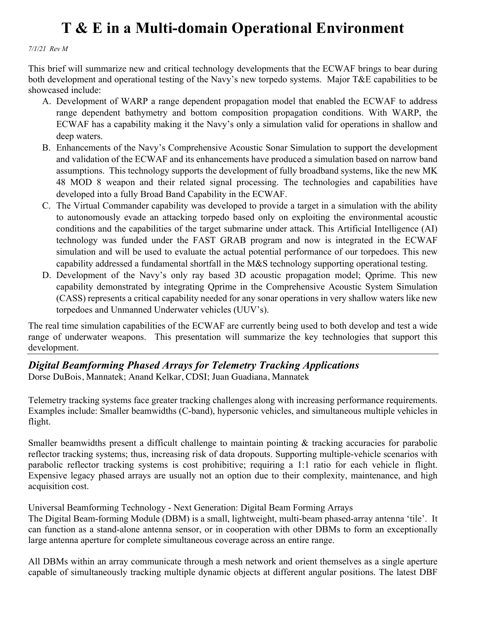*7/1/21 Rev M*

This brief will summarize new and critical technology developments that the ECWAF brings to bear during both development and operational testing of the Navy's new torpedo systems. Major T&E capabilities to be showcased include:

- A. Development of WARP a range dependent propagation model that enabled the ECWAF to address range dependent bathymetry and bottom composition propagation conditions. With WARP, the ECWAF has a capability making it the Navy's only a simulation valid for operations in shallow and deep waters.
- B. Enhancements of the Navy's Comprehensive Acoustic Sonar Simulation to support the development and validation of the ECWAF and its enhancements have produced a simulation based on narrow band assumptions. This technology supports the development of fully broadband systems, like the new MK 48 MOD 8 weapon and their related signal processing. The technologies and capabilities have developed into a fully Broad Band Capability in the ECWAF.
- C. The Virtual Commander capability was developed to provide a target in a simulation with the ability to autonomously evade an attacking torpedo based only on exploiting the environmental acoustic conditions and the capabilities of the target submarine under attack. This Artificial Intelligence (AI) technology was funded under the FAST GRAB program and now is integrated in the ECWAF simulation and will be used to evaluate the actual potential performance of our torpedoes. This new capability addressed a fundamental shortfall in the M&S technology supporting operational testing.
- D. Development of the Navy's only ray based 3D acoustic propagation model; Qprime. This new capability demonstrated by integrating Qprime in the Comprehensive Acoustic System Simulation (CASS) represents a critical capability needed for any sonar operations in very shallow waters like new torpedoes and Unmanned Underwater vehicles (UUV's).

The real time simulation capabilities of the ECWAF are currently being used to both develop and test a wide range of underwater weapons. This presentation will summarize the key technologies that support this development.

#### *Digital Beamforming Phased Arrays for Telemetry Tracking Applications* Dorse DuBois, Mannatek; Anand Kelkar, CDSI; Juan Guadiana, Mannatek

Telemetry tracking systems face greater tracking challenges along with increasing performance requirements. Examples include: Smaller beamwidths (C-band), hypersonic vehicles, and simultaneous multiple vehicles in flight.

Smaller beamwidths present a difficult challenge to maintain pointing & tracking accuracies for parabolic reflector tracking systems; thus, increasing risk of data dropouts. Supporting multiple-vehicle scenarios with parabolic reflector tracking systems is cost prohibitive; requiring a 1:1 ratio for each vehicle in flight. Expensive legacy phased arrays are usually not an option due to their complexity, maintenance, and high acquisition cost.

Universal Beamforming Technology - Next Generation: Digital Beam Forming Arrays

The Digital Beam-forming Module (DBM) is a small, lightweight, multi-beam phased-array antenna 'tile'. It can function as a stand-alone antenna sensor, or in cooperation with other DBMs to form an exceptionally large antenna aperture for complete simultaneous coverage across an entire range.

All DBMs within an array communicate through a mesh network and orient themselves as a single aperture capable of simultaneously tracking multiple dynamic objects at different angular positions. The latest DBF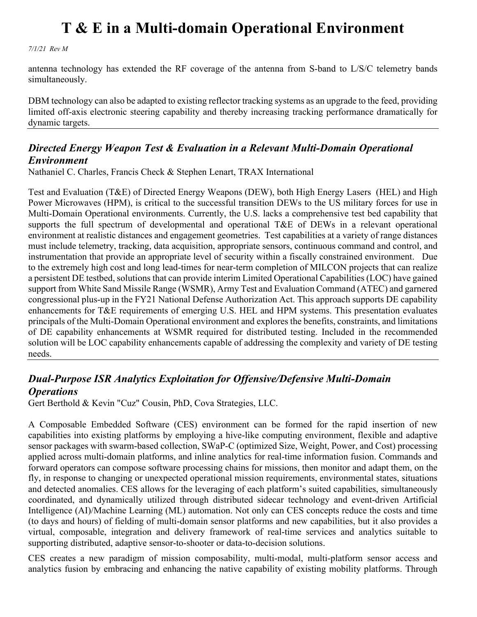*7/1/21 Rev M*

antenna technology has extended the RF coverage of the antenna from S-band to L/S/C telemetry bands simultaneously.

DBM technology can also be adapted to existing reflector tracking systems as an upgrade to the feed, providing limited off-axis electronic steering capability and thereby increasing tracking performance dramatically for dynamic targets.

#### *Directed Energy Weapon Test & Evaluation in a Relevant Multi-Domain Operational Environment*

Nathaniel C. Charles, Francis Check & Stephen Lenart, TRAX International

Test and Evaluation (T&E) of Directed Energy Weapons (DEW), both High Energy Lasers (HEL) and High Power Microwaves (HPM), is critical to the successful transition DEWs to the US military forces for use in Multi-Domain Operational environments. Currently, the U.S. lacks a comprehensive test bed capability that supports the full spectrum of developmental and operational T&E of DEWs in a relevant operational environment at realistic distances and engagement geometries. Test capabilities at a variety of range distances must include telemetry, tracking, data acquisition, appropriate sensors, continuous command and control, and instrumentation that provide an appropriate level of security within a fiscally constrained environment. Due to the extremely high cost and long lead-times for near-term completion of MILCON projects that can realize a persistent DE testbed, solutions that can provide interim Limited Operational Capabilities (LOC) have gained support from White Sand Missile Range (WSMR), Army Test and Evaluation Command (ATEC) and garnered congressional plus-up in the FY21 National Defense Authorization Act. This approach supports DE capability enhancements for T&E requirements of emerging U.S. HEL and HPM systems. This presentation evaluates principals of the Multi-Domain Operational environment and explores the benefits, constraints, and limitations of DE capability enhancements at WSMR required for distributed testing. Included in the recommended solution will be LOC capability enhancements capable of addressing the complexity and variety of DE testing needs.

### *Dual-Purpose ISR Analytics Exploitation for Offensive/Defensive Multi-Domain Operations*

Gert Berthold & Kevin "Cuz" Cousin, PhD, Cova Strategies, LLC.

A Composable Embedded Software (CES) environment can be formed for the rapid insertion of new capabilities into existing platforms by employing a hive-like computing environment, flexible and adaptive sensor packages with swarm-based collection, SWaP-C (optimized Size, Weight, Power, and Cost) processing applied across multi-domain platforms, and inline analytics for real-time information fusion. Commands and forward operators can compose software processing chains for missions, then monitor and adapt them, on the fly, in response to changing or unexpected operational mission requirements, environmental states, situations and detected anomalies. CES allows for the leveraging of each platform's suited capabilities, simultaneously coordinated, and dynamically utilized through distributed sidecar technology and event-driven Artificial Intelligence (AI)/Machine Learning (ML) automation. Not only can CES concepts reduce the costs and time (to days and hours) of fielding of multi-domain sensor platforms and new capabilities, but it also provides a virtual, composable, integration and delivery framework of real-time services and analytics suitable to supporting distributed, adaptive sensor-to-shooter or data-to-decision solutions.

CES creates a new paradigm of mission composability, multi-modal, multi-platform sensor access and analytics fusion by embracing and enhancing the native capability of existing mobility platforms. Through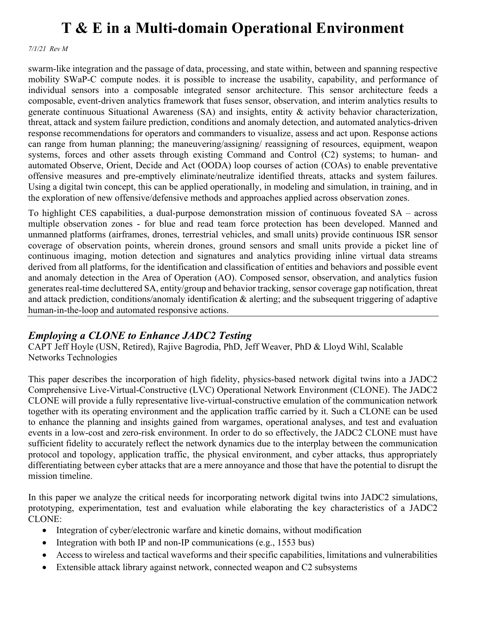*7/1/21 Rev M*

swarm-like integration and the passage of data, processing, and state within, between and spanning respective mobility SWaP-C compute nodes. it is possible to increase the usability, capability, and performance of individual sensors into a composable integrated sensor architecture. This sensor architecture feeds a composable, event-driven analytics framework that fuses sensor, observation, and interim analytics results to generate continuous Situational Awareness (SA) and insights, entity & activity behavior characterization, threat, attack and system failure prediction, conditions and anomaly detection, and automated analytics-driven response recommendations for operators and commanders to visualize, assess and act upon. Response actions can range from human planning; the maneuvering/assigning/ reassigning of resources, equipment, weapon systems, forces and other assets through existing Command and Control (C2) systems; to human- and automated Observe, Orient, Decide and Act (OODA) loop courses of action (COAs) to enable preventative offensive measures and pre-emptively eliminate/neutralize identified threats, attacks and system failures. Using a digital twin concept, this can be applied operationally, in modeling and simulation, in training, and in the exploration of new offensive/defensive methods and approaches applied across observation zones.

To highlight CES capabilities, a dual-purpose demonstration mission of continuous foveated SA – across multiple observation zones - for blue and read team force protection has been developed. Manned and unmanned platforms (airframes, drones, terrestrial vehicles, and small units) provide continuous ISR sensor coverage of observation points, wherein drones, ground sensors and small units provide a picket line of continuous imaging, motion detection and signatures and analytics providing inline virtual data streams derived from all platforms, for the identification and classification of entities and behaviors and possible event and anomaly detection in the Area of Operation (AO). Composed sensor, observation, and analytics fusion generates real-time decluttered SA, entity/group and behavior tracking, sensor coverage gap notification, threat and attack prediction, conditions/anomaly identification & alerting; and the subsequent triggering of adaptive human-in-the-loop and automated responsive actions.

### *Employing a CLONE to Enhance JADC2 Testing*

CAPT Jeff Hoyle (USN, Retired), Rajive Bagrodia, PhD, Jeff Weaver, PhD & Lloyd Wihl, Scalable Networks Technologies

This paper describes the incorporation of high fidelity, physics-based network digital twins into a JADC2 Comprehensive Live-Virtual-Constructive (LVC) Operational Network Environment (CLONE). The JADC2 CLONE will provide a fully representative live-virtual-constructive emulation of the communication network together with its operating environment and the application traffic carried by it. Such a CLONE can be used to enhance the planning and insights gained from wargames, operational analyses, and test and evaluation events in a low-cost and zero-risk environment. In order to do so effectively, the JADC2 CLONE must have sufficient fidelity to accurately reflect the network dynamics due to the interplay between the communication protocol and topology, application traffic, the physical environment, and cyber attacks, thus appropriately differentiating between cyber attacks that are a mere annoyance and those that have the potential to disrupt the mission timeline.

In this paper we analyze the critical needs for incorporating network digital twins into JADC2 simulations, prototyping, experimentation, test and evaluation while elaborating the key characteristics of a JADC2 CLONE:

- Integration of cyber/electronic warfare and kinetic domains, without modification
- Integration with both IP and non-IP communications (e.g., 1553 bus)
- Access to wireless and tactical waveforms and their specific capabilities, limitations and vulnerabilities
- Extensible attack library against network, connected weapon and C2 subsystems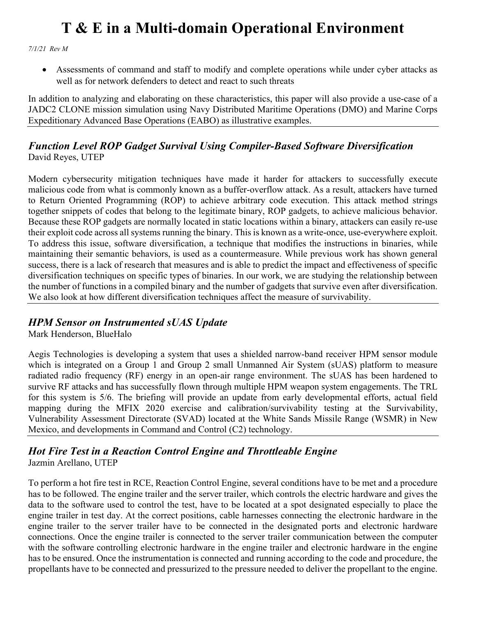*7/1/21 Rev M*

• Assessments of command and staff to modify and complete operations while under cyber attacks as well as for network defenders to detect and react to such threats

In addition to analyzing and elaborating on these characteristics, this paper will also provide a use-case of a JADC2 CLONE mission simulation using Navy Distributed Maritime Operations (DMO) and Marine Corps Expeditionary Advanced Base Operations (EABO) as illustrative examples.

#### *Function Level ROP Gadget Survival Using Compiler-Based Software Diversification* David Reyes, UTEP

Modern cybersecurity mitigation techniques have made it harder for attackers to successfully execute malicious code from what is commonly known as a buffer-overflow attack. As a result, attackers have turned to Return Oriented Programming (ROP) to achieve arbitrary code execution. This attack method strings together snippets of codes that belong to the legitimate binary, ROP gadgets, to achieve malicious behavior. Because these ROP gadgets are normally located in static locations within a binary, attackers can easily re-use their exploit code across all systems running the binary. This is known as a write-once, use-everywhere exploit. To address this issue, software diversification, a technique that modifies the instructions in binaries, while maintaining their semantic behaviors, is used as a countermeasure. While previous work has shown general success, there is a lack of research that measures and is able to predict the impact and effectiveness of specific diversification techniques on specific types of binaries. In our work, we are studying the relationship between the number of functions in a compiled binary and the number of gadgets that survive even after diversification. We also look at how different diversification techniques affect the measure of survivability.

### *HPM Sensor on Instrumented sUAS Update*

Mark Henderson, BlueHalo

Aegis Technologies is developing a system that uses a shielded narrow-band receiver HPM sensor module which is integrated on a Group 1 and Group 2 small Unmanned Air System (sUAS) platform to measure radiated radio frequency (RF) energy in an open-air range environment. The sUAS has been hardened to survive RF attacks and has successfully flown through multiple HPM weapon system engagements. The TRL for this system is 5/6. The briefing will provide an update from early developmental efforts, actual field mapping during the MFIX 2020 exercise and calibration/survivability testing at the Survivability, Vulnerability Assessment Directorate (SVAD) located at the White Sands Missile Range (WSMR) in New Mexico, and developments in Command and Control (C2) technology.

#### *Hot Fire Test in a Reaction Control Engine and Throttleable Engine* Jazmin Arellano, UTEP

To perform a hot fire test in RCE, Reaction Control Engine, several conditions have to be met and a procedure has to be followed. The engine trailer and the server trailer, which controls the electric hardware and gives the data to the software used to control the test, have to be located at a spot designated especially to place the engine trailer in test day. At the correct positions, cable harnesses connecting the electronic hardware in the engine trailer to the server trailer have to be connected in the designated ports and electronic hardware connections. Once the engine trailer is connected to the server trailer communication between the computer with the software controlling electronic hardware in the engine trailer and electronic hardware in the engine has to be ensured. Once the instrumentation is connected and running according to the code and procedure, the propellants have to be connected and pressurized to the pressure needed to deliver the propellant to the engine.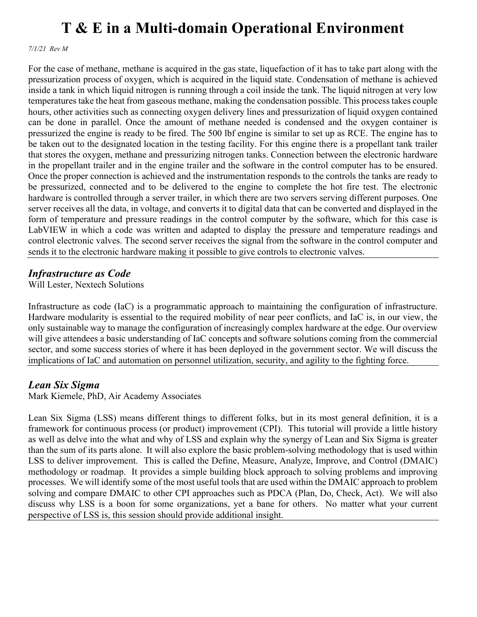*7/1/21 Rev M*

For the case of methane, methane is acquired in the gas state, liquefaction of it has to take part along with the pressurization process of oxygen, which is acquired in the liquid state. Condensation of methane is achieved inside a tank in which liquid nitrogen is running through a coil inside the tank. The liquid nitrogen at very low temperatures take the heat from gaseous methane, making the condensation possible. This process takes couple hours, other activities such as connecting oxygen delivery lines and pressurization of liquid oxygen contained can be done in parallel. Once the amount of methane needed is condensed and the oxygen container is pressurized the engine is ready to be fired. The 500 lbf engine is similar to set up as RCE. The engine has to be taken out to the designated location in the testing facility. For this engine there is a propellant tank trailer that stores the oxygen, methane and pressurizing nitrogen tanks. Connection between the electronic hardware in the propellant trailer and in the engine trailer and the software in the control computer has to be ensured. Once the proper connection is achieved and the instrumentation responds to the controls the tanks are ready to be pressurized, connected and to be delivered to the engine to complete the hot fire test. The electronic hardware is controlled through a server trailer, in which there are two servers serving different purposes. One server receives all the data, in voltage, and converts it to digital data that can be converted and displayed in the form of temperature and pressure readings in the control computer by the software, which for this case is LabVIEW in which a code was written and adapted to display the pressure and temperature readings and control electronic valves. The second server receives the signal from the software in the control computer and sends it to the electronic hardware making it possible to give controls to electronic valves.

### *Infrastructure as Code*

Will Lester, Nextech Solutions

Infrastructure as code (IaC) is a programmatic approach to maintaining the configuration of infrastructure. Hardware modularity is essential to the required mobility of near peer conflicts, and IaC is, in our view, the only sustainable way to manage the configuration of increasingly complex hardware at the edge. Our overview will give attendees a basic understanding of IaC concepts and software solutions coming from the commercial sector, and some success stories of where it has been deployed in the government sector. We will discuss the implications of IaC and automation on personnel utilization, security, and agility to the fighting force.

### *Lean Six Sigma*

Mark Kiemele, PhD, Air Academy Associates

Lean Six Sigma (LSS) means different things to different folks, but in its most general definition, it is a framework for continuous process (or product) improvement (CPI). This tutorial will provide a little history as well as delve into the what and why of LSS and explain why the synergy of Lean and Six Sigma is greater than the sum of its parts alone. It will also explore the basic problem-solving methodology that is used within LSS to deliver improvement. This is called the Define, Measure, Analyze, Improve, and Control (DMAIC) methodology or roadmap. It provides a simple building block approach to solving problems and improving processes. We will identify some of the most useful tools that are used within the DMAIC approach to problem solving and compare DMAIC to other CPI approaches such as PDCA (Plan, Do, Check, Act). We will also discuss why LSS is a boon for some organizations, yet a bane for others. No matter what your current perspective of LSS is, this session should provide additional insight.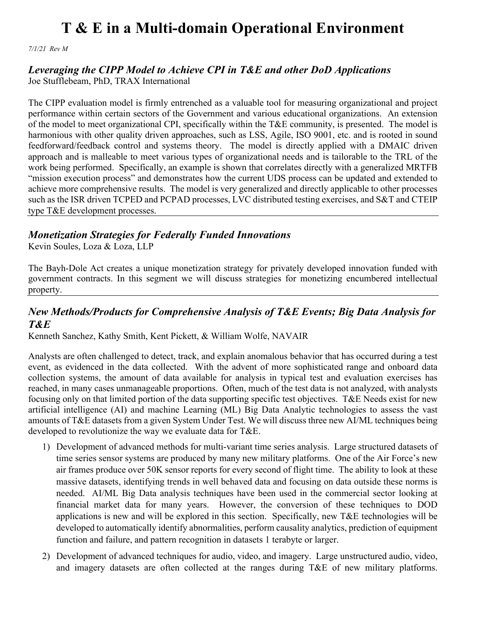*7/1/21 Rev M*

### *Leveraging the CIPP Model to Achieve CPI in T&E and other DoD Applications*

Joe Stufflebeam, PhD, TRAX International

The CIPP evaluation model is firmly entrenched as a valuable tool for measuring organizational and project performance within certain sectors of the Government and various educational organizations. An extension of the model to meet organizational CPI, specifically within the T&E community, is presented. The model is harmonious with other quality driven approaches, such as LSS, Agile, ISO 9001, etc. and is rooted in sound feedforward/feedback control and systems theory. The model is directly applied with a DMAIC driven approach and is malleable to meet various types of organizational needs and is tailorable to the TRL of the work being performed. Specifically, an example is shown that correlates directly with a generalized MRTFB "mission execution process" and demonstrates how the current UDS process can be updated and extended to achieve more comprehensive results. The model is very generalized and directly applicable to other processes such as the ISR driven TCPED and PCPAD processes, LVC distributed testing exercises, and S&T and CTEIP type T&E development processes.

### *Monetization Strategies for Federally Funded Innovations*

Kevin Soules, Loza & Loza, LLP

The Bayh-Dole Act creates a unique monetization strategy for privately developed innovation funded with government contracts. In this segment we will discuss strategies for monetizing encumbered intellectual property.

### *New Methods/Products for Comprehensive Analysis of T&E Events; Big Data Analysis for T&E*

Kenneth Sanchez, Kathy Smith, Kent Pickett, & William Wolfe, NAVAIR

Analysts are often challenged to detect, track, and explain anomalous behavior that has occurred during a test event, as evidenced in the data collected. With the advent of more sophisticated range and onboard data collection systems, the amount of data available for analysis in typical test and evaluation exercises has reached, in many cases unmanageable proportions. Often, much of the test data is not analyzed, with analysts focusing only on that limited portion of the data supporting specific test objectives. T&E Needs exist for new artificial intelligence (AI) and machine Learning (ML) Big Data Analytic technologies to assess the vast amounts of T&E datasets from a given System Under Test. We will discuss three new AI/ML techniques being developed to revolutionize the way we evaluate data for T&E.

- 1) Development of advanced methods for multi-variant time series analysis. Large structured datasets of time series sensor systems are produced by many new military platforms. One of the Air Force's new air frames produce over 50K sensor reports for every second of flight time. The ability to look at these massive datasets, identifying trends in well behaved data and focusing on data outside these norms is needed. AI/ML Big Data analysis techniques have been used in the commercial sector looking at financial market data for many years. However, the conversion of these techniques to DOD applications is new and will be explored in this section. Specifically, new T&E technologies will be developed to automatically identify abnormalities, perform causality analytics, prediction of equipment function and failure, and pattern recognition in datasets 1 terabyte or larger.
- 2) Development of advanced techniques for audio, video, and imagery. Large unstructured audio, video, and imagery datasets are often collected at the ranges during T&E of new military platforms.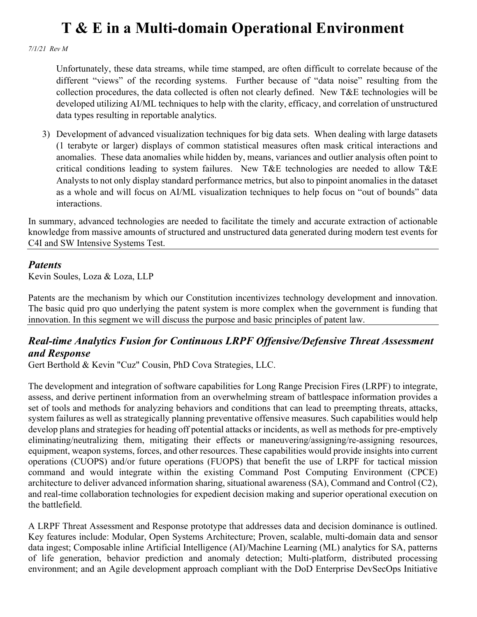*7/1/21 Rev M*

Unfortunately, these data streams, while time stamped, are often difficult to correlate because of the different "views" of the recording systems. Further because of "data noise" resulting from the collection procedures, the data collected is often not clearly defined. New T&E technologies will be developed utilizing AI/ML techniques to help with the clarity, efficacy, and correlation of unstructured data types resulting in reportable analytics.

3) Development of advanced visualization techniques for big data sets. When dealing with large datasets (1 terabyte or larger) displays of common statistical measures often mask critical interactions and anomalies. These data anomalies while hidden by, means, variances and outlier analysis often point to critical conditions leading to system failures. New T&E technologies are needed to allow T&E Analysts to not only display standard performance metrics, but also to pinpoint anomalies in the dataset as a whole and will focus on AI/ML visualization techniques to help focus on "out of bounds" data interactions.

In summary, advanced technologies are needed to facilitate the timely and accurate extraction of actionable knowledge from massive amounts of structured and unstructured data generated during modern test events for C4I and SW Intensive Systems Test.

#### *Patents*

Kevin Soules, Loza & Loza, LLP

Patents are the mechanism by which our Constitution incentivizes technology development and innovation. The basic quid pro quo underlying the patent system is more complex when the government is funding that innovation. In this segment we will discuss the purpose and basic principles of patent law.

### *Real-time Analytics Fusion for Continuous LRPF Offensive/Defensive Threat Assessment and Response*

Gert Berthold & Kevin "Cuz" Cousin, PhD Cova Strategies, LLC.

The development and integration of software capabilities for Long Range Precision Fires (LRPF) to integrate, assess, and derive pertinent information from an overwhelming stream of battlespace information provides a set of tools and methods for analyzing behaviors and conditions that can lead to preempting threats, attacks, system failures as well as strategically planning preventative offensive measures. Such capabilities would help develop plans and strategies for heading off potential attacks or incidents, as well as methods for pre-emptively eliminating/neutralizing them, mitigating their effects or maneuvering/assigning/re-assigning resources, equipment, weapon systems, forces, and other resources. These capabilities would provide insights into current operations (CUOPS) and/or future operations (FUOPS) that benefit the use of LRPF for tactical mission command and would integrate within the existing Command Post Computing Environment (CPCE) architecture to deliver advanced information sharing, situational awareness (SA), Command and Control (C2), and real-time collaboration technologies for expedient decision making and superior operational execution on the battlefield.

A LRPF Threat Assessment and Response prototype that addresses data and decision dominance is outlined. Key features include: Modular, Open Systems Architecture; Proven, scalable, multi-domain data and sensor data ingest; Composable inline Artificial Intelligence (AI)/Machine Learning (ML) analytics for SA, patterns of life generation, behavior prediction and anomaly detection; Multi-platform, distributed processing environment; and an Agile development approach compliant with the DoD Enterprise DevSecOps Initiative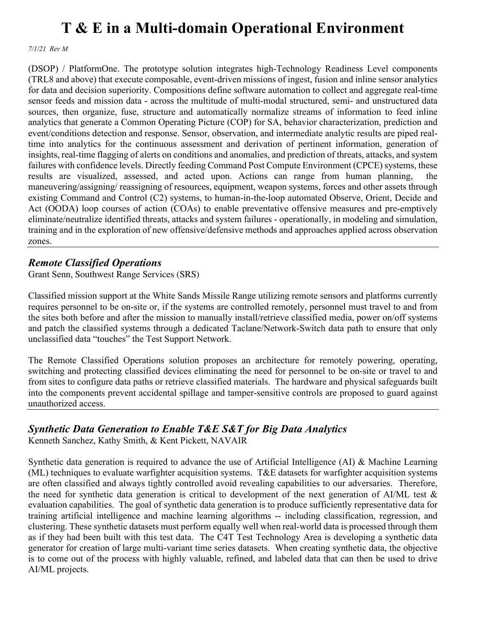*7/1/21 Rev M*

(DSOP) / PlatformOne. The prototype solution integrates high-Technology Readiness Level components (TRL8 and above) that execute composable, event-driven missions of ingest, fusion and inline sensor analytics for data and decision superiority. Compositions define software automation to collect and aggregate real-time sensor feeds and mission data - across the multitude of multi-modal structured, semi- and unstructured data sources, then organize, fuse, structure and automatically normalize streams of information to feed inline analytics that generate a Common Operating Picture (COP) for SA, behavior characterization, prediction and event/conditions detection and response. Sensor, observation, and intermediate analytic results are piped realtime into analytics for the continuous assessment and derivation of pertinent information, generation of insights, real-time flagging of alerts on conditions and anomalies, and prediction of threats, attacks, and system failures with confidence levels. Directly feeding Command Post Compute Environment (CPCE) systems, these results are visualized, assessed, and acted upon. Actions can range from human planning, the maneuvering/assigning/ reassigning of resources, equipment, weapon systems, forces and other assets through existing Command and Control (C2) systems, to human-in-the-loop automated Observe, Orient, Decide and Act (OODA) loop courses of action (COAs) to enable preventative offensive measures and pre-emptively eliminate/neutralize identified threats, attacks and system failures - operationally, in modeling and simulation, training and in the exploration of new offensive/defensive methods and approaches applied across observation zones.

### *Remote Classified Operations*

Grant Senn, Southwest Range Services (SRS)

Classified mission support at the White Sands Missile Range utilizing remote sensors and platforms currently requires personnel to be on-site or, if the systems are controlled remotely, personnel must travel to and from the sites both before and after the mission to manually install/retrieve classified media, power on/off systems and patch the classified systems through a dedicated Taclane/Network-Switch data path to ensure that only unclassified data "touches" the Test Support Network.

The Remote Classified Operations solution proposes an architecture for remotely powering, operating, switching and protecting classified devices eliminating the need for personnel to be on-site or travel to and from sites to configure data paths or retrieve classified materials. The hardware and physical safeguards built into the components prevent accidental spillage and tamper-sensitive controls are proposed to guard against unauthorized access.

### *Synthetic Data Generation to Enable T&E S&T for Big Data Analytics*

Kenneth Sanchez, Kathy Smith, & Kent Pickett, NAVAIR

Synthetic data generation is required to advance the use of Artificial Intelligence (AI) & Machine Learning (ML) techniques to evaluate warfighter acquisition systems. T&E datasets for warfighter acquisition systems are often classified and always tightly controlled avoid revealing capabilities to our adversaries. Therefore, the need for synthetic data generation is critical to development of the next generation of AI/ML test  $\&$ evaluation capabilities. The goal of synthetic data generation is to produce sufficiently representative data for training artificial intelligence and machine learning algorithms -- including classification, regression, and clustering. These synthetic datasets must perform equally well when real-world data is processed through them as if they had been built with this test data. The C4T Test Technology Area is developing a synthetic data generator for creation of large multi-variant time series datasets. When creating synthetic data, the objective is to come out of the process with highly valuable, refined, and labeled data that can then be used to drive AI/ML projects.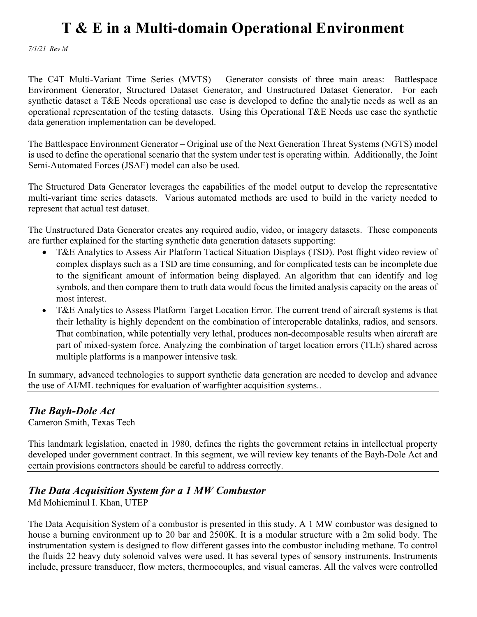*7/1/21 Rev M*

The C4T Multi-Variant Time Series (MVTS) – Generator consists of three main areas: Battlespace Environment Generator, Structured Dataset Generator, and Unstructured Dataset Generator. For each synthetic dataset a T&E Needs operational use case is developed to define the analytic needs as well as an operational representation of the testing datasets. Using this Operational T&E Needs use case the synthetic data generation implementation can be developed.

The Battlespace Environment Generator – Original use of the Next Generation Threat Systems (NGTS) model is used to define the operational scenario that the system under test is operating within. Additionally, the Joint Semi-Automated Forces (JSAF) model can also be used.

The Structured Data Generator leverages the capabilities of the model output to develop the representative multi-variant time series datasets. Various automated methods are used to build in the variety needed to represent that actual test dataset.

The Unstructured Data Generator creates any required audio, video, or imagery datasets. These components are further explained for the starting synthetic data generation datasets supporting:

- T&E Analytics to Assess Air Platform Tactical Situation Displays (TSD). Post flight video review of complex displays such as a TSD are time consuming, and for complicated tests can be incomplete due to the significant amount of information being displayed. An algorithm that can identify and log symbols, and then compare them to truth data would focus the limited analysis capacity on the areas of most interest.
- T&E Analytics to Assess Platform Target Location Error. The current trend of aircraft systems is that their lethality is highly dependent on the combination of interoperable datalinks, radios, and sensors. That combination, while potentially very lethal, produces non-decomposable results when aircraft are part of mixed-system force. Analyzing the combination of target location errors (TLE) shared across multiple platforms is a manpower intensive task.

In summary, advanced technologies to support synthetic data generation are needed to develop and advance the use of AI/ML techniques for evaluation of warfighter acquisition systems..

#### *The Bayh-Dole Act*

Cameron Smith, Texas Tech

This landmark legislation, enacted in 1980, defines the rights the government retains in intellectual property developed under government contract. In this segment, we will review key tenants of the Bayh-Dole Act and certain provisions contractors should be careful to address correctly.

#### *The Data Acquisition System for a 1 MW Combustor*

Md Mohieminul I. Khan, UTEP

The Data Acquisition System of a combustor is presented in this study. A 1 MW combustor was designed to house a burning environment up to 20 bar and 2500K. It is a modular structure with a 2m solid body. The instrumentation system is designed to flow different gasses into the combustor including methane. To control the fluids 22 heavy duty solenoid valves were used. It has several types of sensory instruments. Instruments include, pressure transducer, flow meters, thermocouples, and visual cameras. All the valves were controlled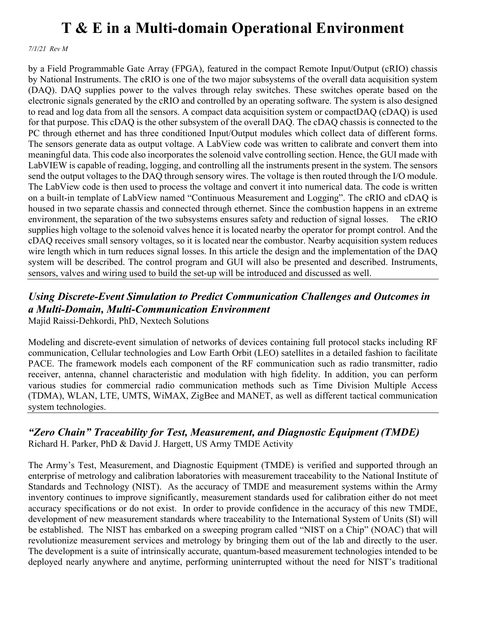*7/1/21 Rev M*

by a Field Programmable Gate Array (FPGA), featured in the compact Remote Input/Output (cRIO) chassis by National Instruments. The cRIO is one of the two major subsystems of the overall data acquisition system (DAQ). DAQ supplies power to the valves through relay switches. These switches operate based on the electronic signals generated by the cRIO and controlled by an operating software. The system is also designed to read and log data from all the sensors. A compact data acquisition system or compactDAQ (cDAQ) is used for that purpose. This cDAQ is the other subsystem of the overall DAQ. The cDAQ chassis is connected to the PC through ethernet and has three conditioned Input/Output modules which collect data of different forms. The sensors generate data as output voltage. A LabView code was written to calibrate and convert them into meaningful data. This code also incorporates the solenoid valve controlling section. Hence, the GUI made with LabVIEW is capable of reading, logging, and controlling all the instruments present in the system. The sensors send the output voltages to the DAQ through sensory wires. The voltage is then routed through the I/O module. The LabView code is then used to process the voltage and convert it into numerical data. The code is written on a built-in template of LabView named "Continuous Measurement and Logging". The cRIO and cDAQ is housed in two separate chassis and connected through ethernet. Since the combustion happens in an extreme environment, the separation of the two subsystems ensures safety and reduction of signal losses. The cRIO supplies high voltage to the solenoid valves hence it is located nearby the operator for prompt control. And the cDAQ receives small sensory voltages, so it is located near the combustor. Nearby acquisition system reduces wire length which in turn reduces signal losses. In this article the design and the implementation of the DAQ system will be described. The control program and GUI will also be presented and described. Instruments, sensors, valves and wiring used to build the set-up will be introduced and discussed as well.

### *Using Discrete-Event Simulation to Predict Communication Challenges and Outcomes in a Multi-Domain, Multi-Communication Environment*

Majid Raissi-Dehkordi, PhD, Nextech Solutions

Modeling and discrete-event simulation of networks of devices containing full protocol stacks including RF communication, Cellular technologies and Low Earth Orbit (LEO) satellites in a detailed fashion to facilitate PACE. The framework models each component of the RF communication such as radio transmitter, radio receiver, antenna, channel characteristic and modulation with high fidelity. In addition, you can perform various studies for commercial radio communication methods such as Time Division Multiple Access (TDMA), WLAN, LTE, UMTS, WiMAX, ZigBee and MANET, as well as different tactical communication system technologies.

#### *"Zero Chain" Traceability for Test, Measurement, and Diagnostic Equipment (TMDE)* Richard H. Parker, PhD & David J. Hargett, US Army TMDE Activity

The Army's Test, Measurement, and Diagnostic Equipment (TMDE) is verified and supported through an enterprise of metrology and calibration laboratories with measurement traceability to the National Institute of Standards and Technology (NIST). As the accuracy of TMDE and measurement systems within the Army inventory continues to improve significantly, measurement standards used for calibration either do not meet accuracy specifications or do not exist. In order to provide confidence in the accuracy of this new TMDE, development of new measurement standards where traceability to the International System of Units (SI) will be established. The NIST has embarked on a sweeping program called "NIST on a Chip" (NOAC) that will revolutionize measurement services and metrology by bringing them out of the lab and directly to the user. The development is a suite of intrinsically accurate, quantum-based measurement technologies intended to be deployed nearly anywhere and anytime, performing uninterrupted without the need for NIST's traditional